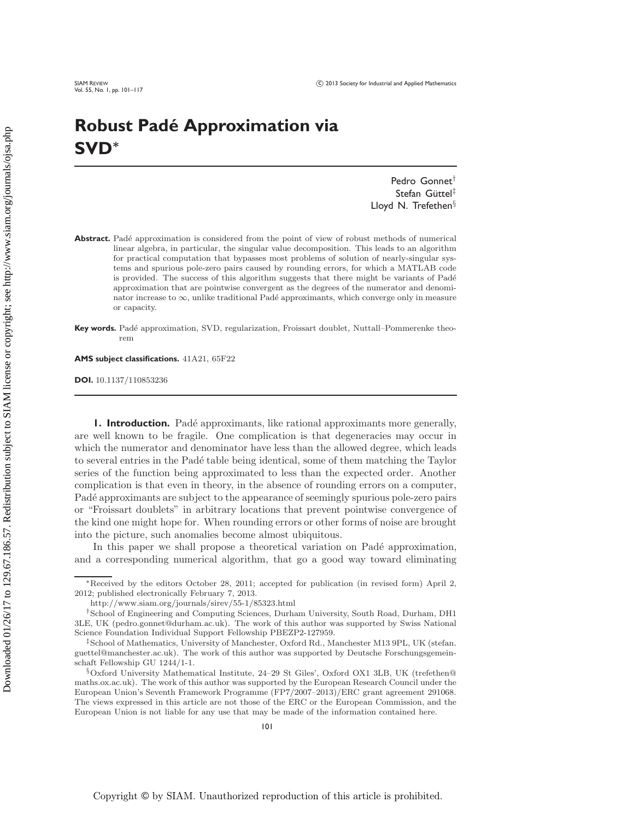## **Robust Pade Approximation via ´ SVD***<sup>∗</sup>*

Pedro Gonnet† Stefan Güttel<sup>‡</sup> Lloyd N. Trefethen<sup>§</sup>

- Abstract. Padé approximation is considered from the point of view of robust methods of numerical linear algebra, in particular, the singular value decomposition. This leads to an algorithm for practical computation that bypasses most problems of solution of nearly-singular systems and spurious pole-zero pairs caused by rounding errors, for which a MATLAB code is provided. The success of this algorithm suggests that there might be variants of Padé approximation that are pointwise convergent as the degrees of the numerator and denominator increase to  $\infty$ , unlike traditional Padé approximants, which converge only in measure or capacity.
- **Key words.** Padé approximation, SVD, regularization, Froissart doublet, Nuttall–Pommerenke theorem

**AMS subject classifications.** 41A21, 65F22

**DOI.** 10.1137/110853236

**1. Introduction.** Padé approximants, like rational approximants more generally, are well known to be fragile. One complication is that degeneracies may occur in which the numerator and denominator have less than the allowed degree, which leads to several entries in the Padé table being identical, some of them matching the Taylor series of the function being approximated to less than the expected order. Another complication is that even in theory, in the absence of rounding errors on a computer, Padé approximants are subject to the appearance of seemingly spurious pole-zero pairs or "Froissart doublets" in arbitrary locations that prevent pointwise convergence of the kind one might hope for. When rounding errors or other forms of noise are brought into the picture, such anomalies become almost ubiquitous.

In this paper we shall propose a theoretical variation on Padé approximation, and a corresponding numerical algorithm, that go a good way toward eliminating

<sup>∗</sup>Received by the editors October 28, 2011; accepted for publication (in revised form) April 2, 2012; published electronically February 7, 2013.

http://www.siam.org/journals/sirev/55-1/85323.html

<sup>†</sup>School of Engineering and Computing Sciences, Durham University, South Road, Durham, DH1 3LE, UK (pedro.gonnet@durham.ac.uk). The work of this author was supported by Swiss National Science Foundation Individual Support Fellowship PBEZP2-127959.

<sup>‡</sup>School of Mathematics, University of Manchester, Oxford Rd., Manchester M13 9PL, UK ([stefan.](mailto:stefan.guettel@manchester.ac.uk) [guettel@manchester.ac.uk](mailto:stefan.guettel@manchester.ac.uk)). The work of this author was supported by Deutsche Forschungsgemeinschaft Fellowship GU 1244/1-1.

<sup>§</sup>Oxford University Mathematical Institute, 24–29 St Giles', Oxford OX1 3LB, UK [\(trefethen@](mailto:trefethen@maths.ox.ac.uk) [maths.ox.ac.uk](mailto:trefethen@maths.ox.ac.uk)). The work of this author was supported by the European Research Council under the European Union's Seventh Framework Programme (FP7/2007–2013)/ERC grant agreement 291068. The views expressed in this article are not those of the ERC or the European Commission, and the European Union is not liable for any use that may be made of the information contained here.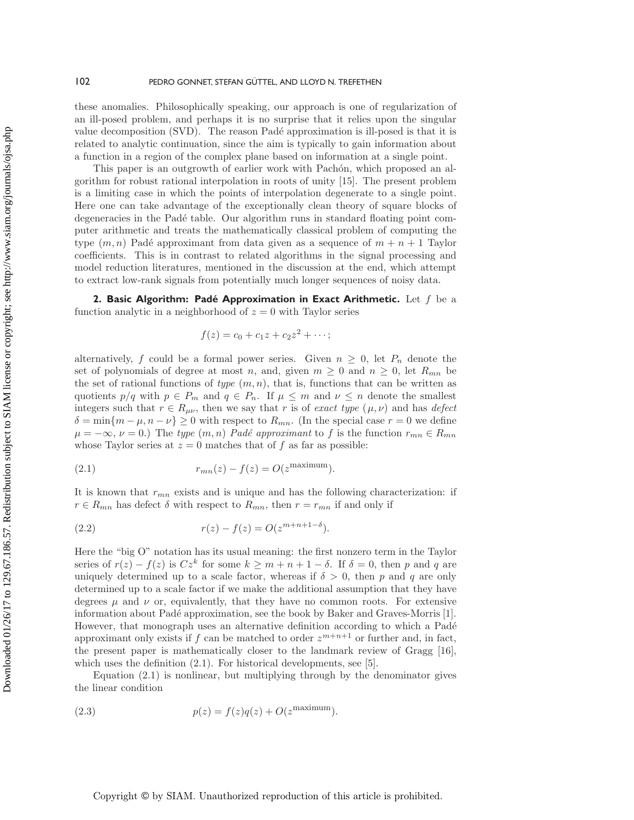these anomalies. Philosophically speaking, our approach is one of regularization of an ill-posed problem, and perhaps it is no surprise that it relies upon the singular value decomposition (SVD). The reason Padé approximation is ill-posed is that it is related to analytic continuation, since the aim is typically to gain information about a function in a region of the complex plane based on information at a single point.

This paper is an outgrowth of earlier work with Pachón, which proposed an algorithm for robust rational interpolation in roots of unity [15]. The present problem is a limiting case in which the points of interpolation degenerate to a single point. Here one can take advantage of the exceptionally clean theory of square blocks of degeneracies in the Padé table. Our algorithm runs in standard floating point computer arithmetic and treats the mathematically classical problem of computing the type  $(m, n)$  Padé approximant from data given as a sequence of  $m + n + 1$  Taylor coefficients. This is in contrast to related algorithms in the signal processing and model reduction literatures, mentioned in the discussion at the end, which attempt to extract low-rank signals from potentially much longer sequences of noisy data.

**2. Basic Algorithm: Padé Approximation in Exact Arithmetic.** Let f be a function analytic in a neighborhood of  $z = 0$  with Taylor series

$$
f(z) = c_0 + c_1 z + c_2 z^2 + \cdots;
$$

alternatively, f could be a formal power series. Given  $n \geq 0$ , let  $P_n$  denote the set of polynomials of degree at most n, and, given  $m \geq 0$  and  $n \geq 0$ , let  $R_{mn}$  be the set of rational functions of *type*  $(m, n)$ , that is, functions that can be written as quotients  $p/q$  with  $p \in P_m$  and  $q \in P_n$ . If  $\mu \leq m$  and  $\nu \leq n$  denote the smallest integers such that  $r \in R_{\mu\nu}$ , then we say that r is of *exact type*  $(\mu, \nu)$  and has *defect*  $\delta = \min\{m - \mu, n - \nu\} \geq 0$  with respect to  $R_{mn}$ . (In the special case  $r = 0$  we define  $\mu = -\infty$ ,  $\nu = 0$ .) The *type*  $(m, n)$  *Padé approximant* to f is the function  $r_{mn} \in R_{mn}$ whose Taylor series at  $z = 0$  matches that of f as far as possible:

(2.1) 
$$
r_{mn}(z) - f(z) = O(z^{\text{maximum}}).
$$

It is known that  $r_{mn}$  exists and is unique and has the following characterization: if  $r \in R_{mn}$  has defect  $\delta$  with respect to  $R_{mn}$ , then  $r = r_{mn}$  if and only if

(2.2) 
$$
r(z) - f(z) = O(z^{m+n+1-\delta}).
$$

Here the "big O" notation has its usual meaning: the first nonzero term in the Taylor series of  $r(z) - f(z)$  is  $Cz^k$  for some  $k \geq m + n + 1 - \delta$ . If  $\delta = 0$ , then p and q are uniquely determined up to a scale factor, whereas if  $\delta > 0$ , then p and q are only determined up to a scale factor if we make the additional assumption that they have degrees  $\mu$  and  $\nu$  or, equivalently, that they have no common roots. For extensive information about Padé approximation, see the book by Baker and Graves-Morris [1]. However, that monograph uses an alternative definition according to which a Padé approximant only exists if f can be matched to order  $z^{m+n+1}$  or further and, in fact, the present paper is mathematically closer to the landmark review of Gragg [16], which uses the definition  $(2.1)$ . For historical developments, see [5].

Equation (2.1) is nonlinear, but multiplying through by the denominator gives the linear condition

(2.3) 
$$
p(z) = f(z)q(z) + O(z^{\text{maximum}}).
$$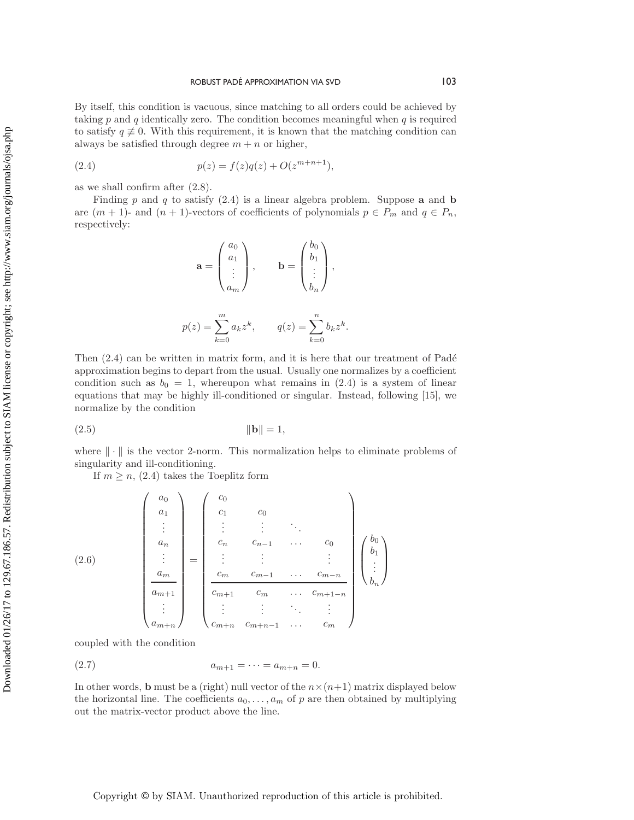By itself, this condition is vacuous, since matching to all orders could be achieved by taking  $p$  and  $q$  identically zero. The condition becomes meaningful when  $q$  is required to satisfy  $q \neq 0$ . With this requirement, it is known that the matching condition can always be satisfied through degree  $m + n$  or higher,

(2.4) 
$$
p(z) = f(z)q(z) + O(z^{m+n+1}),
$$

as we shall confirm after (2.8).

Finding p and q to satisfy (2.4) is a linear algebra problem. Suppose **a** and **b** are  $(m + 1)$ - and  $(n + 1)$ -vectors of coefficients of polynomials  $p \in P_m$  and  $q \in P_n$ , respectively:

$$
\mathbf{a} = \begin{pmatrix} a_0 \\ a_1 \\ \vdots \\ a_m \end{pmatrix}, \qquad \mathbf{b} = \begin{pmatrix} b_0 \\ b_1 \\ \vdots \\ b_n \end{pmatrix},
$$

$$
p(z) = \sum_{k=0}^m a_k z^k, \qquad q(z) = \sum_{k=0}^n b_k z^k.
$$

Then  $(2.4)$  can be written in matrix form, and it is here that our treatment of Padé approximation begins to depart from the usual. Usually one normalizes by a coefficient condition such as  $b_0 = 1$ , whereupon what remains in (2.4) is a system of linear equations that may be highly ill-conditioned or singular. Instead, following [15], we normalize by the condition

$$
||\mathbf{b}|| = 1,
$$

where  $\|\cdot\|$  is the vector 2-norm. This normalization helps to eliminate problems of singularity and ill-conditioning.

If  $m \geq n$ , (2.4) takes the Toeplitz form

(2.6)
$$
\begin{pmatrix}\na_0 \\
a_1 \\
\vdots \\
a_n \\
\vdots \\
a_m \\
\hline\na_{m+1} \\
\vdots \\
a_{m+n}\n\end{pmatrix} = \begin{pmatrix}\nc_0 \\
c_1 & c_0 \\
\vdots & \vdots \\
c_n & c_{n-1} & \dots & c_0 \\
\vdots & \vdots & \vdots \\
c_m & c_{m-1} & \dots & c_{m-n} \\
\hline\nc_{m+1} & c_m & \dots & c_{m+1-n} \\
\vdots & \vdots & \vdots & \ddots & \vdots \\
c_{m+n} & c_{m+n-1} & \dots & c_m\n\end{pmatrix} \begin{pmatrix}\nb_0 \\
b_1 \\
\vdots \\
b_n\n\end{pmatrix}
$$

coupled with the condition

(2.7) 
$$
a_{m+1} = \cdots = a_{m+n} = 0.
$$

In other words, **b** must be a (right) null vector of the  $n \times (n+1)$  matrix displayed below the horizontal line. The coefficients  $a_0, \ldots, a_m$  of p are then obtained by multiplying out the matrix-vector product above the line.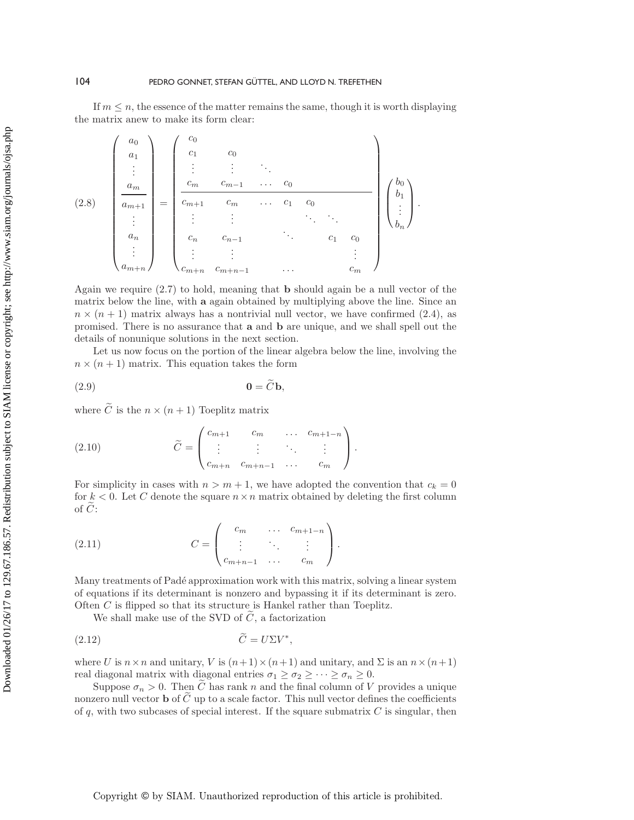If  $m \leq n$ , the essence of the matter remains the same, though it is worth displaying the matrix anew to make its form clear:

$$
(2.8) \quad\n\begin{pmatrix}\n a_0 \\
 a_1 \\
 \vdots \\
 a_m \\
 \vdots \\
 a_n \\
 \vdots \\
 a_{m+n}\n\end{pmatrix}\n=\n\begin{pmatrix}\n c_0 \\
 c_1 & c_0 \\
 \vdots & \vdots \\
 c_m & c_{m-1} & \dots & c_0 \\
 \vdots & \vdots & \ddots & \vdots \\
 c_n & c_{n-1} & \dots & c_1 & c_0 \\
 \vdots & \vdots & \vdots & \ddots & \vdots \\
 c_{m+n} & c_{m+n-1} & \dots & c_m\n\end{pmatrix}\n\begin{pmatrix}\n b_0 \\
 b_1 \\
 \vdots \\
 b_n\n\end{pmatrix}.
$$

Again we require (2.7) to hold, meaning that **b** should again be a null vector of the matrix below the line, with **a** again obtained by multiplying above the line. Since an  $n \times (n + 1)$  matrix always has a nontrivial null vector, we have confirmed (2.4), as promised. There is no assurance that **a** and **b** are unique, and we shall spell out the details of nonunique solutions in the next section.

Let us now focus on the portion of the linear algebra below the line, involving the  $n \times (n+1)$  matrix. This equation takes the form

$$
(2.9) \t\t\t\t\t0 = \widetilde{C} b,
$$

where  $\widetilde{C}$  is the  $n \times (n+1)$  Toeplitz matrix

(2.10) 
$$
\widetilde{C} = \begin{pmatrix} c_{m+1} & c_m & \dots & c_{m+1-n} \\ \vdots & \vdots & \ddots & \vdots \\ c_{m+n} & c_{m+n-1} & \dots & c_m \end{pmatrix}.
$$

For simplicity in cases with  $n > m + 1$ , we have adopted the convention that  $c_k = 0$ for  $k < 0$ . Let C denote the square  $n \times n$  matrix obtained by deleting the first column of  $\overline{C}$ :

(2.11) 
$$
C = \begin{pmatrix} c_m & \cdots & c_{m+1-n} \\ \vdots & \ddots & \vdots \\ c_{m+n-1} & \cdots & c_m \end{pmatrix}.
$$

Many treatments of Pad´e approximation work with this matrix, solving a linear system of equations if its determinant is nonzero and bypassing it if its determinant is zero. Often C is flipped so that its structure is Hankel rather than Toeplitz.

We shall make use of the SVD of  $\tilde{C}$ , a factorization

$$
(2.12)\qquad \qquad \widetilde{C} = U\Sigma V^*,
$$

where U is  $n \times n$  and unitary, V is  $(n+1) \times (n+1)$  and unitary, and  $\Sigma$  is an  $n \times (n+1)$ real diagonal matrix with diagonal entries  $\sigma_1 \geq \sigma_2 \geq \cdots \geq \sigma_n \geq 0$ .

Suppose  $\sigma_n > 0$ . Then C has rank n and the final column of V provides a unique nonzero null vector  $\mathbf b$  of  $C$  up to a scale factor. This null vector defines the coefficients of  $q$ , with two subcases of special interest. If the square submatrix  $C$  is singular, then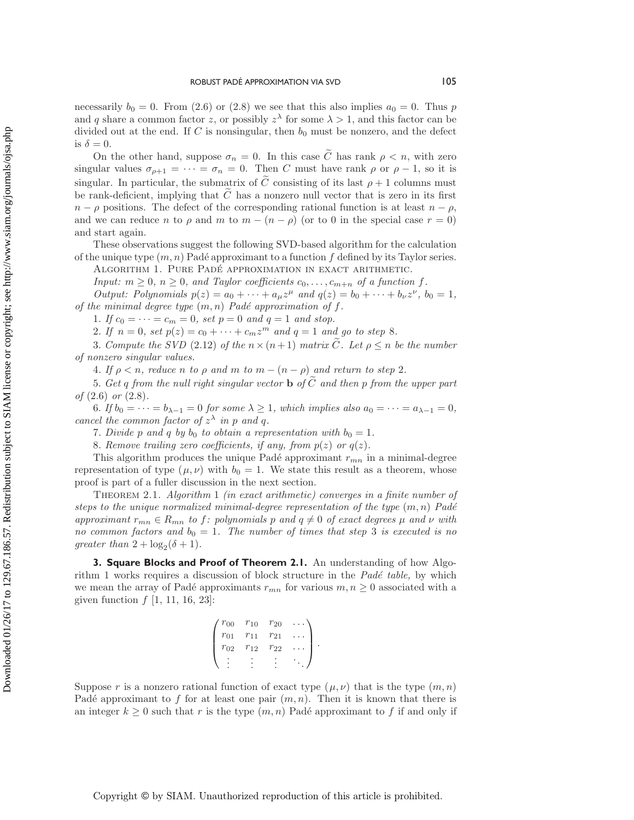necessarily  $b_0 = 0$ . From (2.6) or (2.8) we see that this also implies  $a_0 = 0$ . Thus p and q share a common factor z, or possibly  $z^{\lambda}$  for some  $\lambda > 1$ , and this factor can be divided out at the end. If C is nonsingular, then  $b_0$  must be nonzero, and the defect is  $\delta = 0$ .

On the other hand, suppose  $\sigma_n = 0$ . In this case  $\tilde{C}$  has rank  $\rho < n$ , with zero singular values  $\sigma_{\rho+1} = \cdots = \sigma_n = 0$ . Then C must have rank  $\rho$  or  $\rho - 1$ , so it is singular. In particular, the submatrix of  $\tilde{C}$  consisting of its last  $\rho + 1$  columns must be rank-deficient, implying that  $C$  has a nonzero null vector that is zero in its first  $n - \rho$  positions. The defect of the corresponding rational function is at least  $n - \rho$ , and we can reduce n to  $\rho$  and m to  $m - (n - \rho)$  (or to 0 in the special case  $r = 0$ ) and start again.

These observations suggest the following SVD-based algorithm for the calculation of the unique type  $(m, n)$  Padé approximant to a function f defined by its Taylor series. ALGORITHM 1. PURE PADÉ APPROXIMATION IN EXACT ARITHMETIC.

*Input:*  $m \geq 0$ ,  $n \geq 0$ , and *Taylor coefficients*  $c_0, \ldots, c_{m+n}$  *of a function f. Output: Polynomials*  $p(z) = a_0 + \cdots + a_{\mu}z^{\mu}$  *and*  $q(z) = b_0 + \cdots + b_{\nu}z^{\nu}$ ,  $b_0 = 1$ , *of the minimal degree type*  $(m, n)$  *Padé approximation of*  $f$ *.* 

1. *If*  $c_0 = \cdots = c_m = 0$ , set  $p = 0$  and  $q = 1$  and stop.

2. If  $n = 0$ , set  $p(z) = c_0 + \cdots + c_m z^m$  and  $q = 1$  and go to step 8.

3. *Compute the SVD* (2.12) *of the*  $n \times (n+1)$  *matrix* C. Let  $\rho \leq n$  *be the number of nonzero singular values.*

4. If  $\rho < n$ , reduce n to  $\rho$  and m to  $m - (n - \rho)$  and return to step 2.

<sup>5</sup>. *Get* <sup>q</sup> *from the null right singular vector* **<sup>b</sup>** *of* <sup>C</sup> *and then* <sup>p</sup> *from the upper part of* (2.6) *or* (2.8)*.*

6. If  $b_0 = \cdots = b_{\lambda-1} = 0$  for some  $\lambda \geq 1$ , which implies also  $a_0 = \cdots = a_{\lambda-1} = 0$ , *cancel the common factor of*  $z^{\lambda}$  *in* p *and* q.

7. Divide p and q by  $b_0$  to obtain a representation with  $b_0 = 1$ .

8. Remove trailing zero coefficients, if any, from  $p(z)$  or  $q(z)$ .

This algorithm produces the unique Padé approximant  $r_{mn}$  in a minimal-degree representation of type  $(\mu, \nu)$  with  $b_0 = 1$ . We state this result as a theorem, whose proof is part of a fuller discussion in the next section.

Theorem 2.1. *Algorithm* 1 *(in exact arithmetic) converges in a finite number of steps to the unique normalized minimal-degree representation of the type*  $(m, n)$   $Padé$  $a$ *pproximant*  $r_{mn} \in R_{mn}$  *to*  $f$ : *polynomials*  $p$  *and*  $q \neq 0$  *of exact degrees*  $\mu$  *and*  $\nu$  *with no common factors and*  $b_0 = 1$ *. The number of times that step* 3 *is executed is no greater than*  $2 + \log_2(\delta + 1)$ *.* 

**3. Square Blocks and Proof of Theorem 2.1.** An understanding of how Algorithm 1 works requires a discussion of block structure in the *Padé table*, by which we mean the array of Padé approximants  $r_{mn}$  for various  $m, n \geq 0$  associated with a given function  $f$  [1, 11, 16, 23]:

| $r_{00}$ | $r_{10}$ | $r_{20}$ |  |
|----------|----------|----------|--|
| $r_{01}$ | $r_{11}$ | $r_{21}$ |  |
| $r_{02}$ | $r_{12}$ | $r_{22}$ |  |
|          |          |          |  |

Suppose r is a nonzero rational function of exact type  $(\mu, \nu)$  that is the type  $(m, n)$ Padé approximant to f for at least one pair  $(m, n)$ . Then it is known that there is an integer  $k \geq 0$  such that r is the type  $(m, n)$  Padé approximant to f if and only if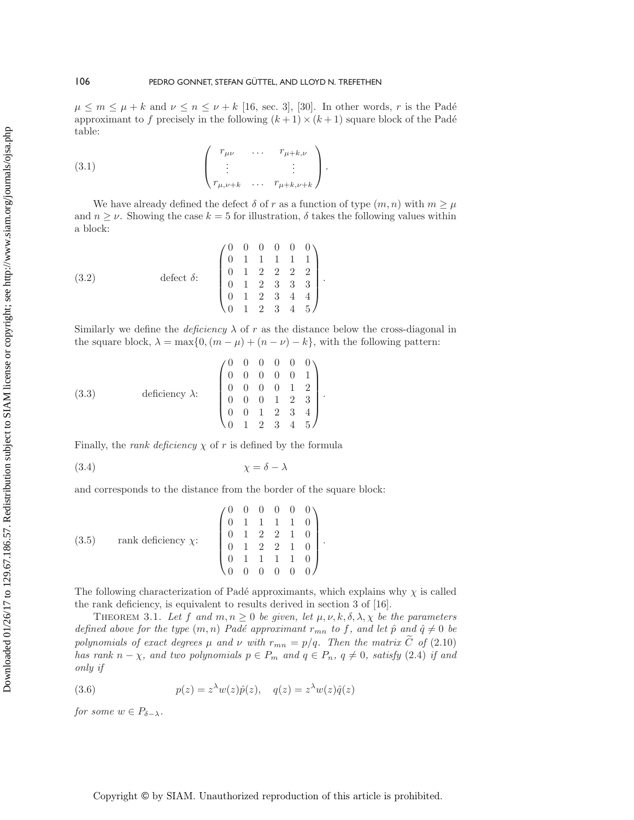$\mu \leq m \leq \mu + k$  and  $\nu \leq n \leq \nu + k$  [16, sec. 3], [30]. In other words, r is the Padé approximant to f precisely in the following  $(k+1) \times (k+1)$  square block of the Padé table:

(3.1) 
$$
\begin{pmatrix} r_{\mu\nu} & \cdots & r_{\mu+k,\nu} \\ \vdots & & \vdots \\ r_{\mu,\nu+k} & \cdots & r_{\mu+k,\nu+k} \end{pmatrix}.
$$

We have already defined the defect  $\delta$  of r as a function of type  $(m, n)$  with  $m \geq \mu$ and  $n \geq \nu$ . Showing the case  $k = 5$  for illustration,  $\delta$  takes the following values within a block:

(3.2) 
$$
\text{defect } \delta: \begin{pmatrix} 0 & 0 & 0 & 0 & 0 & 0 \\ 0 & 1 & 1 & 1 & 1 & 1 \\ 0 & 1 & 2 & 2 & 2 & 2 \\ 0 & 1 & 2 & 3 & 3 & 3 \\ 0 & 1 & 2 & 3 & 4 & 4 \\ 0 & 1 & 2 & 3 & 4 & 5 \end{pmatrix}.
$$

Similarly we define the *deficiency*  $\lambda$  of r as the distance below the cross-diagonal in the square block,  $\lambda = \max\{0, (m - \mu) + (n - \nu) - k\}$ , with the following pattern:

(3.3) 
$$
\text{deficiency } \lambda: \begin{pmatrix} 0 & 0 & 0 & 0 & 0 & 0 \\ 0 & 0 & 0 & 0 & 0 & 1 \\ 0 & 0 & 0 & 0 & 1 & 2 \\ 0 & 0 & 0 & 1 & 2 & 3 \\ 0 & 0 & 1 & 2 & 3 & 4 \\ 0 & 1 & 2 & 3 & 4 & 5 \end{pmatrix}.
$$

Finally, the *rank deficiency*  $\chi$  of r is defined by the formula

$$
\chi = \delta - \lambda
$$

and corresponds to the distance from the border of the square block:

(3.5) rank deficiency 
$$
\chi
$$
:
$$
\begin{pmatrix}\n0 & 0 & 0 & 0 & 0 & 0 \\
0 & 1 & 1 & 1 & 1 & 0 \\
0 & 1 & 2 & 2 & 1 & 0 \\
0 & 1 & 2 & 2 & 1 & 0 \\
0 & 1 & 1 & 1 & 1 & 0 \\
0 & 0 & 0 & 0 & 0 & 0\n\end{pmatrix}
$$
.

The following characterization of Padé approximants, which explains why  $\chi$  is called the rank deficiency, is equivalent to results derived in section 3 of [16].

THEOREM 3.1. Let f and  $m, n \geq 0$  be given, let  $\mu, \nu, k, \delta, \lambda, \chi$  be the parameters *defined above for the type*  $(m, n)$  *Padé approximant*  $r_{mn}$  *to* f, and let  $\hat{p}$  *and*  $\hat{q} \neq 0$  *be polynomials of exact degrees*  $\mu$  *and*  $\nu$  *with*  $r_{mn} = p/q$ . Then the matrix C of (2.10) *has rank*  $n - \chi$ *, and two polynomials*  $p \in P_m$  *and*  $q \in P_n$ *,*  $q \neq 0$ *, satisfy* (2.4) *if and only if*

(3.6) 
$$
p(z) = z^{\lambda} w(z) \hat{p}(z), \quad q(z) = z^{\lambda} w(z) \hat{q}(z)
$$

*for some*  $w \in P_{\delta-\lambda}$ *.*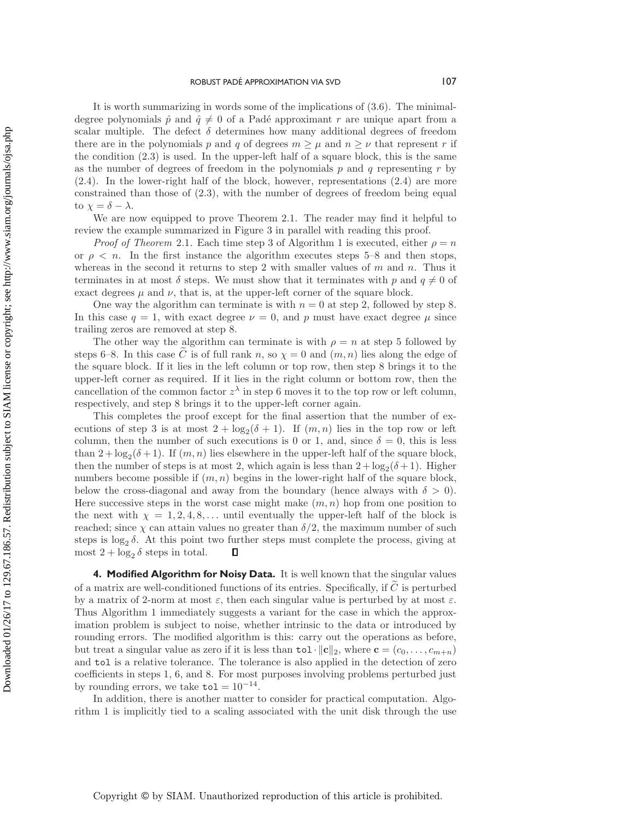It is worth summarizing in words some of the implications of (3.6). The minimaldegree polynomials  $\hat{p}$  and  $\hat{q} \neq 0$  of a Padé approximant r are unique apart from a scalar multiple. The defect  $\delta$  determines how many additional degrees of freedom there are in the polynomials p and q of degrees  $m \geq \mu$  and  $n \geq \nu$  that represent r if the condition (2.3) is used. In the upper-left half of a square block, this is the same as the number of degrees of freedom in the polynomials  $p$  and  $q$  representing  $r$  by (2.4). In the lower-right half of the block, however, representations (2.4) are more constrained than those of (2.3), with the number of degrees of freedom being equal to  $\chi = \delta - \lambda$ .

We are now equipped to prove Theorem 2.1. The reader may find it helpful to review the example summarized in Figure 3 in parallel with reading this proof.

*Proof of Theorem* 2.1. Each time step 3 of Algorithm 1 is executed, either  $\rho = n$ or  $\rho < n$ . In the first instance the algorithm executes steps 5–8 and then stops, whereas in the second it returns to step 2 with smaller values of  $m$  and  $n$ . Thus it terminates in at most  $\delta$  steps. We must show that it terminates with p and  $q \neq 0$  of exact degrees  $\mu$  and  $\nu$ , that is, at the upper-left corner of the square block.

One way the algorithm can terminate is with  $n = 0$  at step 2, followed by step 8. In this case  $q = 1$ , with exact degree  $\nu = 0$ , and p must have exact degree  $\mu$  since trailing zeros are removed at step 8.

The other way the algorithm can terminate is with  $\rho = n$  at step 5 followed by steps 6–8. In this case C is of full rank n, so  $\chi = 0$  and  $(m, n)$  lies along the edge of the square block. If it lies in the left column or top row, then step 8 brings it to the upper-left corner as required. If it lies in the right column or bottom row, then the cancellation of the common factor  $z^{\lambda}$  in step 6 moves it to the top row or left column, respectively, and step 8 brings it to the upper-left corner again.

This completes the proof except for the final assertion that the number of executions of step 3 is at most  $2 + \log_2(\delta + 1)$ . If  $(m, n)$  lies in the top row or left column, then the number of such executions is 0 or 1, and, since  $\delta = 0$ , this is less than  $2 + \log_2(\delta + 1)$ . If  $(m, n)$  lies elsewhere in the upper-left half of the square block, then the number of steps is at most 2, which again is less than  $2 + \log_2(\delta + 1)$ . Higher numbers become possible if  $(m, n)$  begins in the lower-right half of the square block, below the cross-diagonal and away from the boundary (hence always with  $\delta > 0$ ). Here successive steps in the worst case might make  $(m, n)$  hop from one position to the next with  $\chi = 1, 2, 4, 8, \ldots$  until eventually the upper-left half of the block is reached; since  $\chi$  can attain values no greater than  $\delta/2$ , the maximum number of such steps is  $\log_2 \delta$ . At this point two further steps must complete the process, giving at most  $2 + \log_2 \delta$  steps in total. most  $2 + \log_2 \delta$  steps in total.

**4. Modified Algorithm for Noisy Data.** It is well known that the singular values of a matrix are well-conditioned functions of its entries. Specifically, if  $\tilde{C}$  is perturbed by a matrix of 2-norm at most  $\varepsilon$ , then each singular value is perturbed by at most  $\varepsilon$ . Thus Algorithm 1 immediately suggests a variant for the case in which the approximation problem is subject to noise, whether intrinsic to the data or introduced by rounding errors. The modified algorithm is this: carry out the operations as before, but treat a singular value as zero if it is less than  $\text{tol} \cdot ||\textbf{c}||_2$ , where  $\textbf{c} = (c_0, \ldots, c_{m+n})$ and tol is a relative tolerance. The tolerance is also applied in the detection of zero coefficients in steps 1, 6, and 8. For most purposes involving problems perturbed just by rounding errors, we take to $1 = 10^{-14}$ .

In addition, there is another matter to consider for practical computation. Algorithm 1 is implicitly tied to a scaling associated with the unit disk through the use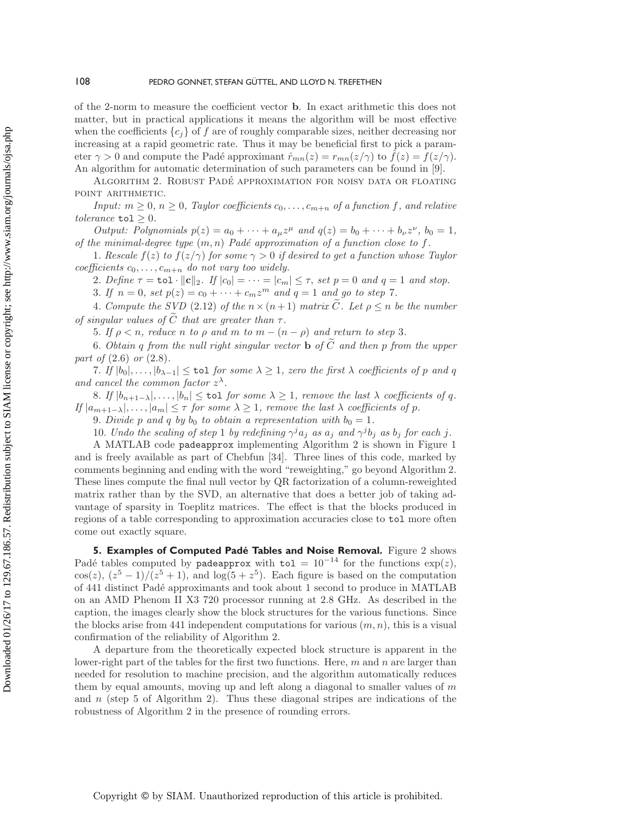of the 2-norm to measure the coefficient vector **b**. In exact arithmetic this does not matter, but in practical applications it means the algorithm will be most effective when the coefficients  ${c_i}$  of f are of roughly comparable sizes, neither decreasing nor increasing at a rapid geometric rate. Thus it may be beneficial first to pick a parameter  $\gamma > 0$  and compute the Padé approximant  $\hat{r}_{mn}(z) = r_{mn}(z/\gamma)$  to  $f(z) = f(z/\gamma)$ . An algorithm for automatic determination of such parameters can be found in [9].

ALGORITHM 2. ROBUST PADÉ APPROXIMATION FOR NOISY DATA OR FLOATING point arithmetic.

*Input:*  $m \geq 0$ ,  $n \geq 0$ , *Taylor coefficients*  $c_0, \ldots, c_{m+n}$  *of a function f, and relative tolerance*  $\texttt{tol} > 0$ *.* 

*Output: Polynomials*  $p(z) = a_0 + \cdots + a_{\mu}z^{\mu}$  *and*  $q(z) = b_0 + \cdots + b_{\nu}z^{\nu}$ ,  $b_0 = 1$ , *of the minimal-degree type*  $(m, n)$  *Padé approximation of a function close to f.* 

1. *Rescale*  $f(z)$  *to*  $f(z/\gamma)$  *for some*  $\gamma > 0$  *if desired to get a function whose Taylor coefficients*  $c_0, \ldots, c_{m+n}$  *do not vary too widely.* 

2. *Define*  $\tau = \text{tol} \cdot ||c||_2$ . *If*  $|c_0| = \cdots = |c_m| \leq \tau$ , *set*  $p = 0$  *and*  $q = 1$  *and stop.* 

3. If  $n = 0$ , set  $p(z) = c_0 + \cdots + c_m z^m$  and  $q = 1$  and go to step 7.

4. *Compute the SVD* (2.12) *of the*  $n \times (n+1)$  *matrix*  $\widetilde{C}$ *. Let*  $\rho \leq n$  *be the number of singular values of*  $\widetilde{C}$  *that are greater than*  $\tau$ *.* 

5. If  $\rho < n$ , reduce n to  $\rho$  and m to  $m - (n - \rho)$  and return to step 3.

6. Obtain q from the null right singular vector **b** of  $\tilde{C}$  and then p from the upper *part of* (2.6) *or* (2.8)*.*

7. If  $|b_0|, \ldots, |b_{\lambda-1}| \leq \text{tol}$  *for some*  $\lambda \geq 1$ *, zero the first*  $\lambda$  *coefficients of* p and q *and cancel the common factor*  $z^{\lambda}$ .

8. If  $|b_{n+1-\lambda}|,\ldots,|b_n|\leq \text{tol}$  *for some*  $\lambda\geq 1$ *, remove the last*  $\lambda$  *coefficients of* q.  $If |a_{m+1-\lambda}|, \ldots, |a_m| \leq \tau$  *for some*  $\lambda \geq 1$ *, remove the last*  $\lambda$  *coefficients of* p.

9. *Divide* p and q by  $b_0$  to obtain a representation with  $b_0 = 1$ .

10. *Undo the scaling of step* 1 *by redefining*  $\gamma^{j}a_{j}$  *as*  $a_{j}$  *and*  $\gamma^{j}b_{j}$  *as*  $b_{j}$  *for each j*.

A MATLAB code padeapprox implementing Algorithm 2 is shown in Figure 1 and is freely available as part of Chebfun [34]. Three lines of this code, marked by comments beginning and ending with the word "reweighting," go beyond Algorithm 2. These lines compute the final null vector by QR factorization of a column-reweighted matrix rather than by the SVD, an alternative that does a better job of taking advantage of sparsity in Toeplitz matrices. The effect is that the blocks produced in regions of a table corresponding to approximation accuracies close to tol more often come out exactly square.

**5. Examples of Computed Padé Tables and Noise Removal.** Figure 2 shows Padé tables computed by padeapprox with tol =  $10^{-14}$  for the functions exp(z),  $\cos(z)$ ,  $(z^5 - 1)/(z^5 + 1)$ , and  $\log(5 + z^5)$ . Each figure is based on the computation of 441 distinct Pad´e approximants and took about 1 second to produce in MATLAB on an AMD Phenom II X3 720 processor running at 2.8 GHz. As described in the caption, the images clearly show the block structures for the various functions. Since the blocks arise from 441 independent computations for various  $(m, n)$ , this is a visual confirmation of the reliability of Algorithm 2.

A departure from the theoretically expected block structure is apparent in the lower-right part of the tables for the first two functions. Here,  $m$  and  $n$  are larger than needed for resolution to machine precision, and the algorithm automatically reduces them by equal amounts, moving up and left along a diagonal to smaller values of  $m$ and  $n$  (step 5 of Algorithm 2). Thus these diagonal stripes are indications of the robustness of Algorithm 2 in the presence of rounding errors.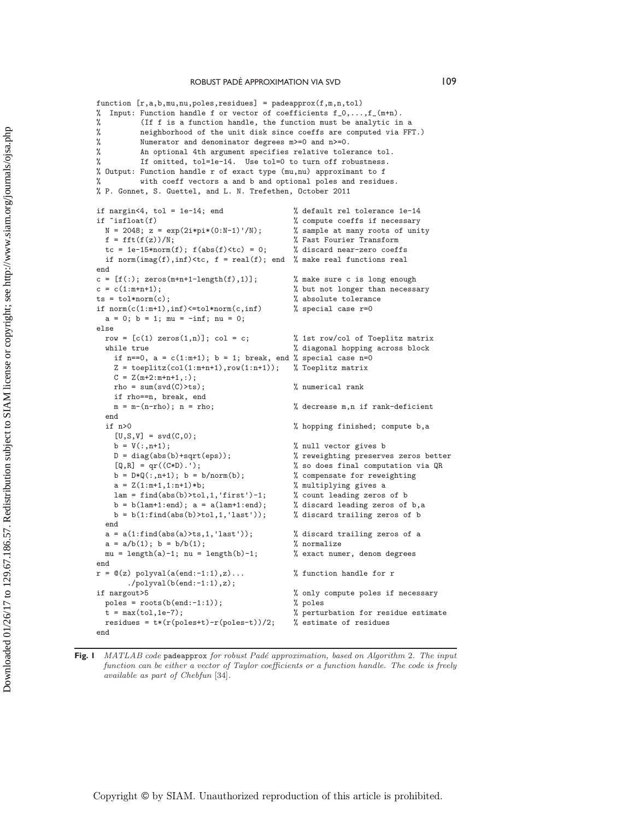## ROBUST PADÉ APPROXIMATION VIA SVD **109**

```
function [r,a,b,mu,nu,poles,residues] = padeapprox(f,m,n,tol)
% Input: Function handle f or vector of coefficients f_0, \ldots, f_{n+m}.
          (If f is a function handle, the function must be analytic in a
% neighborhood of the unit disk since coeffs are computed via FFT.)<br>% Numerator and denominator degrees m>=0 and n>=0.
         Numerator and denominator degrees m>=0 and n>=0.
% An optional 4th argument specifies relative tolerance tol.
% If omitted, tol=1e-14. Use tol=0 to turn off robustness.
% Output: Function handle r of exact type (mu,nu) approximant to f
% with coeff vectors a and b and optional poles and residues.
% P. Gonnet, S. Guettel, and L. N. Trefethen, October 2011
if nargin<4, tol = 1e-14; end % default rel tolerance 1e-14
if "isfloat(f) \% compute coeffs if necessary
 N = 2048; z = exp(2i * pi * (0:N-1)'/N); % sample at many roots of unity
  f = fft(f(z))/N; % Fast Fourier Transform
 tc = 1e-15*norm(f); f(abs(f) < t) = 0; % discard near-zero coeffs
 if norm(imag(f),inf)<tc, f = real(f); end % make real functions real
end
c = [f(:); zeros(m+n+1-length(f),1)]; % make sure c is long enough
c = c(1:m+n+1); % but not longer than necessary
ts = tol*norm(c); % absolute tolerance
if norm(c(1:m+1), inf) \leq tol*norm(c, inf) % special case r=0a = 0; b = 1; mu = -inf; nu = 0;
else
  row = [c(1) \text{ zeros}(1,n)]; col = c; \frac{1}{2} % 1st row/col of Toeplitz matrix
 while true \% diagonal hopping across block
   if n == 0, a = c(1:m + 1); b = 1; break, end % special case n = 0Z = \text{toeplitz}(\text{col}(1:m+n+1),\text{row}(1:n+1)); % Toeplitz matrix
   C = Z(m+2:m+n+1, :);rho = sum(svd(C) > ts); % numerical rank
   if rho==n, break, end
   m = m - (n-rho); n = rho; \% decrease m,n if rank-deficient
  end
  if n>0 % hopping finished; compute b,a
    [U, S, V] = svd(C, 0);b = V(:,n+1); % null vector gives b
   \begin{array}{lll} \texttt{D} = \texttt{diag}(\texttt{abs}(\texttt{b}) + \texttt{sqrt}(\texttt{eps})), & \hspace*{1.5cm} \texttt{\%}\texttt{ reweights}\texttt{ preserves zeros better}\\ \texttt{[Q,R]} = \texttt{qr}((\texttt{C*D}.\texttt{')}; & \hspace*{1.5cm} \texttt{\% so does final computation via QR} \end{array}% so does final computation via QR
   b = D*Q(:,n+1); b = b/norm(b); % compensate for reweighting
   a = Z(1:m+1,1:n+1)*b; % multiplying gives a
   lam = find(abs(b)>tol,1,'first')-1; % count leading zeros of b
   b = b(lam+1:end); a = a(lam+1:end); % discard leading zeros of b,a
   b = b(1:\text{find}(abs(b)>tol,1,'last')); % discard trailing zeros of b
  end
  a = a(1:find(abs(a)>ts,1,'last')); % discard trailing zeros of a
  a = a/b(1); b = b/b(1); <br> \% normalize
 mu = length(a)-1; nu = length(b)-1; % % exact numer, denom degrees
end
r = \mathbb{Q}(z) polyval(a(end:-1:1),z)... % function handle for r
       ./polyval(b(end:-1:1),z);if nargout>5 % only compute poles if necessary
  poles = roots(b(end:-1:1)); % poles
  t = max(tol,1e-7); % perturbation for residue estimate
 residues = t*(r(polest)-r(poles-t))/2; % estimate of residues
end
```
Copyright © by SIAM. Unauthorized reproduction of this article is prohibited.

**Fig. 1** MATLAB code padeapprox for robust Padé approximation, based on Algorithm 2. The input function can be either a vector of Taylor coefficients or a function handle. The code is freely available as part of Chebfun [34].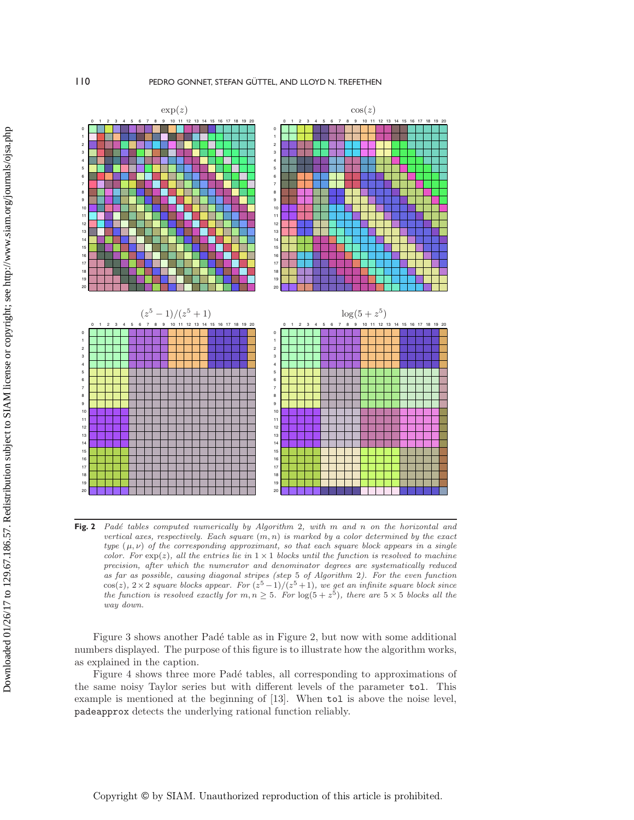

**Fig. 2** Padé tables computed numerically by Algorithm 2, with m and n on the horizontal and vertical axes, respectively. Each square  $(m, n)$  is marked by a color determined by the exact type  $(\mu, \nu)$  of the corresponding approximant, so that each square block appears in a single color. For  $\exp(z)$ , all the entries lie in  $1 \times 1$  blocks until the function is resolved to machine precision, after which the numerator and denominator degrees are systematically reduced as far as possible, causing diagonal stripes (step 5 of Algorithm 2). For the even function  $cos(z)$ ,  $2 \times 2$  square blocks appear. For  $(z^5 - 1)/(z^5 + 1)$ , we get an infinite square block since the function is resolved exactly for  $m, n \geq 5$ . For  $\log(5 + z^5)$ , there are  $5 \times 5$  blocks all the way down.

Figure 3 shows another Padé table as in Figure 2, but now with some additional numbers displayed. The purpose of this figure is to illustrate how the algorithm works, as explained in the caption.

Figure 4 shows three more Padé tables, all corresponding to approximations of the same noisy Taylor series but with different levels of the parameter tol. This example is mentioned at the beginning of [13]. When tol is above the noise level, padeapprox detects the underlying rational function reliably.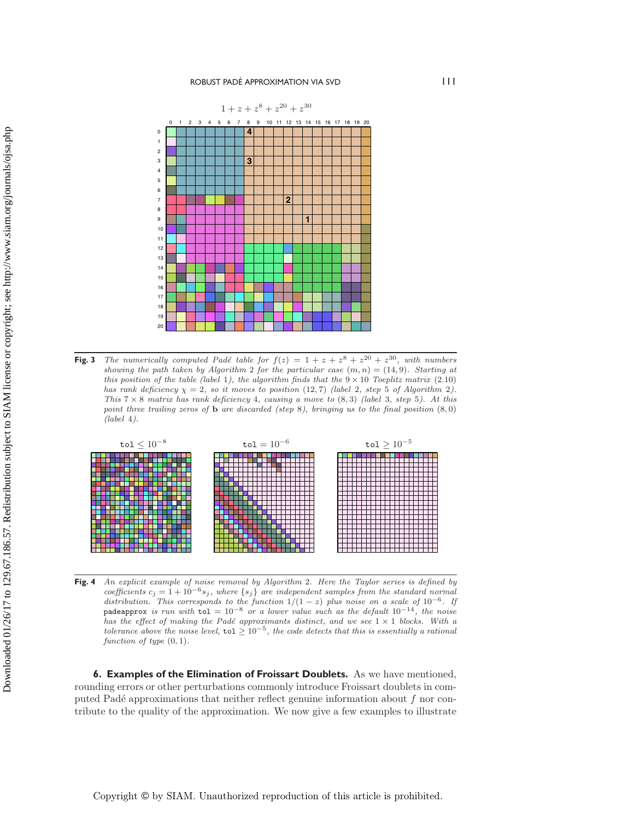

**Fig. 3** The numerically computed Padé table for  $f(z) = 1 + z + z^8 + z^{20} + z^{30}$ , with numbers showing the path taken by Algorithm 2 for the particular case  $(m, n) = (14, 9)$ . Starting at this position of the table (label 1), the algorithm finds that the  $9 \times 10$  Toeplitz matrix (2.10) has rank deficiency  $\chi = 2$ , so it moves to position (12,7) (label 2, step 5 of Algorithm 2). This  $7 \times 8$  matrix has rank deficiency 4, causing a move to  $(8,3)$  (label 3, step 5). At this point three trailing zeros of **b** are discarded (step 8), bringing us to the final position  $(8,0)$  $(label 4).$ 



**Fig. 4** An explicit example of noise removal by Algorithm 2. Here the Taylor series is defined by coefficients  $c_j = 1 + 10^{-6} s_j$ , where  $\{s_j\}$  are independent samples from the standard normal distribution. This corresponds to the function  $1/(1-z)$  plus noise on a scale of  $10^{-6}$ . If padeapprox is run with tol =  $10^{-8}$  or a lower value such as the default  $10^{-14}$ , the noise has the effect of making the Padé approximants distinct, and we see  $1 \times 1$  blocks. With a tolerance above the noise level, tol  $\geq 10^{-5}$ , the code detects that this is essentially a rational function of type  $(0, 1)$ .

**6. Examples of the Elimination of Froissart Doublets.** As we have mentioned, rounding errors or other perturbations commonly introduce Froissart doublets in computed Padé approximations that neither reflect genuine information about  $f$  nor contribute to the quality of the approximation. We now give a few examples to illustrate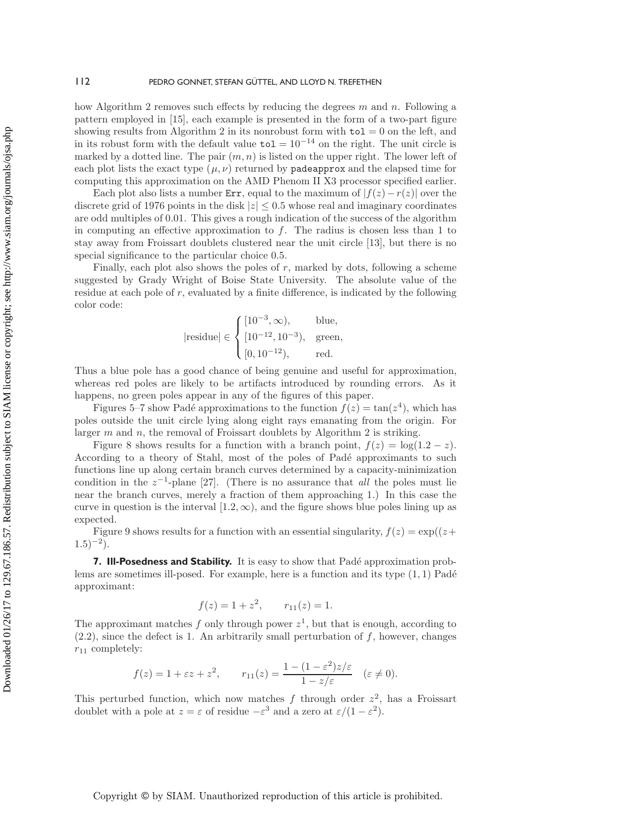how Algorithm 2 removes such effects by reducing the degrees m and n. Following a pattern employed in [15], each example is presented in the form of a two-part figure showing results from Algorithm 2 in its nonrobust form with  $\texttt{tol} = 0$  on the left, and in its robust form with the default value  $\text{tol} = 10^{-14}$  on the right. The unit circle is marked by a dotted line. The pair  $(m, n)$  is listed on the upper right. The lower left of each plot lists the exact type  $(\mu, \nu)$  returned by **padeapprox** and the elapsed time for computing this approximation on the AMD Phenom II X3 processor specified earlier.

Each plot also lists a number Err, equal to the maximum of  $|f(z)-r(z)|$  over the discrete grid of 1976 points in the disk  $|z| \leq 0.5$  whose real and imaginary coordinates are odd multiples of 0.01. This gives a rough indication of the success of the algorithm in computing an effective approximation to  $f$ . The radius is chosen less than 1 to stay away from Froissart doublets clustered near the unit circle [13], but there is no special significance to the particular choice 0.5.

Finally, each plot also shows the poles of  $r$ , marked by dots, following a scheme suggested by Grady Wright of Boise State University. The absolute value of the residue at each pole of r, evaluated by a finite difference, is indicated by the following color code:

$$
|{\rm residue}| \in \begin{cases} [10^{-3}, \infty), & \text{blue,} \\ [10^{-12}, 10^{-3}), & \text{green,} \\ [0, 10^{-12}), & \text{red.} \end{cases}
$$

Thus a blue pole has a good chance of being genuine and useful for approximation, whereas red poles are likely to be artifacts introduced by rounding errors. As it happens, no green poles appear in any of the figures of this paper.

Figures 5–7 show Padé approximations to the function  $f(z) = \tan(z^4)$ , which has poles outside the unit circle lying along eight rays emanating from the origin. For larger  $m$  and  $n$ , the removal of Froissart doublets by Algorithm 2 is striking.

Figure 8 shows results for a function with a branch point,  $f(z) = \log(1.2 - z)$ . According to a theory of Stahl, most of the poles of Padé approximants to such functions line up along certain branch curves determined by a capacity-minimization condition in the z−<sup>1</sup>-plane [27]. (There is no assurance that *all* the poles must lie near the branch curves, merely a fraction of them approaching 1.) In this case the curve in question is the interval  $[1.2, \infty)$ , and the figure shows blue poles lining up as expected.

Figure 9 shows results for a function with an essential singularity,  $f(z) = \exp((z+\sqrt{z}))$  $(1.5)^{-2}$ ).

**7. Ill-Posedness and Stability.** It is easy to show that Padé approximation problems are sometimes ill-posed. For example, here is a function and its type  $(1, 1)$  Padé approximant:

$$
f(z) = 1 + z^2, \qquad r_{11}(z) = 1.
$$

The approximant matches f only through power  $z<sup>1</sup>$ , but that is enough, according to  $(2.2)$ , since the defect is 1. An arbitrarily small perturbation of f, however, changes  $r_{11}$  completely:

$$
f(z) = 1 + \varepsilon z + z^2, \qquad r_{11}(z) = \frac{1 - (1 - \varepsilon^2)z/\varepsilon}{1 - z/\varepsilon} \quad (\varepsilon \neq 0).
$$

This perturbed function, which now matches f through order  $z^2$ , has a Froissart doublet with a pole at  $z = \varepsilon$  of residue  $-\varepsilon^3$  and a zero at  $\varepsilon/(1-\varepsilon^2)$ .

Copyright © by SIAM. Unauthorized reproduction of this article is prohibited.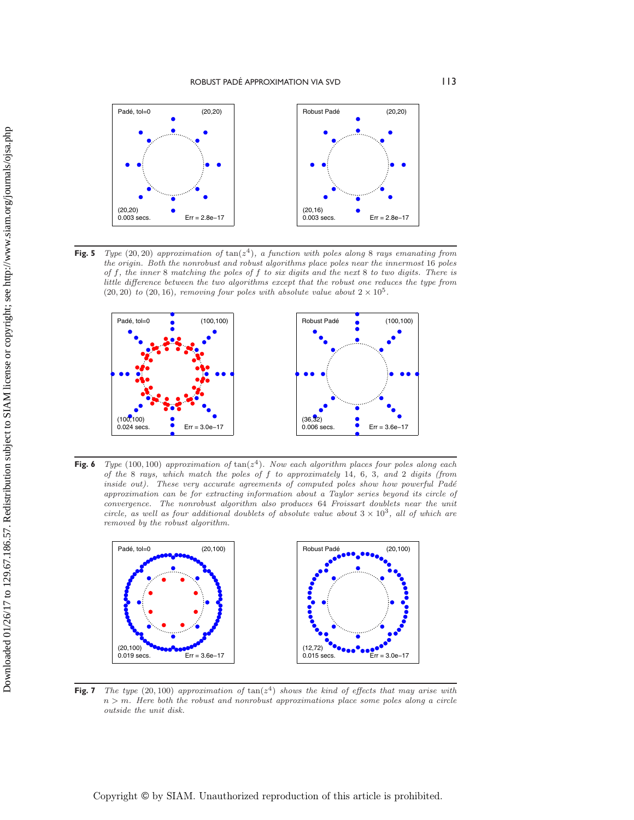

**Fig. 5** Type  $(20, 20)$  approximation of  $tan(z<sup>4</sup>)$ , a function with poles along 8 rays emanating from the origin. Both the nonrobust and robust algorithms place poles near the innermost 16 poles of f, the inner 8 matching the poles of f to six digits and the next 8 to two digits. There is little difference between the two algorithms except that the robust one reduces the type from (20, 20) to (20, 16), removing four poles with absolute value about  $2 \times 10^5$ .



**Fig. 6** Type (100, 100) approximation of  $tan(z^4)$ . Now each algorithm places four poles along each of the 8 rays, which match the poles of f to approximately 14, 6, 3, and 2 digits (from  $inside\ out$ ). These very accurate agreements of computed poles show how powerful  $Pad\acute{e}$ approximation can be for extracting information about a Taylor series beyond its circle of convergence. The nonrobust algorithm also produces 64 Froissart doublets near the unit circle, as well as four additional doublets of absolute value about  $3 \times 10^3$ , all of which are removed by the robust algorithm.



**Fig. 7** The type (20, 100) approximation of  $tan(z^4)$  shows the kind of effects that may arise with  $n>m$ . Here both the robust and nonrobust approximations place some poles along a circle outside the unit disk.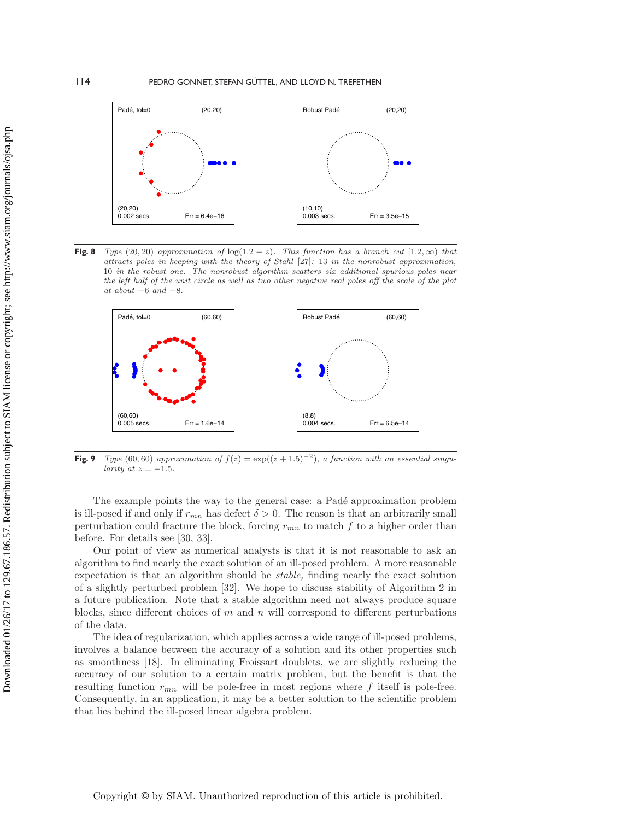

**Fig. 8** Type (20, 20) approximation of  $log(1.2 - z)$ . This function has a branch cut [1.2, ∞) that attracts poles in keeping with the theory of Stahl [27]: 13 in the nonrobust approximation, 10 in the robust one. The nonrobust algorithm scatters six additional spurious poles near the left half of the unit circle as well as two other negative real poles off the scale of the plot at about  $-6$  and  $-8$ .



**Fig. 9** Type (60, 60) approximation of  $f(z) = \exp((z + 1.5)^{-2})$ , a function with an essential singularity at  $z = -1.5$ .

The example points the way to the general case: a Padé approximation problem is ill-posed if and only if  $r_{mn}$  has defect  $\delta > 0$ . The reason is that an arbitrarily small perturbation could fracture the block, forcing  $r_{mn}$  to match f to a higher order than before. For details see [30, 33].

Our point of view as numerical analysts is that it is not reasonable to ask an algorithm to find nearly the exact solution of an ill-posed problem. A more reasonable expectation is that an algorithm should be *stable,* finding nearly the exact solution of a slightly perturbed problem [32]. We hope to discuss stability of Algorithm 2 in a future publication. Note that a stable algorithm need not always produce square blocks, since different choices of  $m$  and  $n$  will correspond to different perturbations of the data.

The idea of regularization, which applies across a wide range of ill-posed problems, involves a balance between the accuracy of a solution and its other properties such as smoothness [18]. In eliminating Froissart doublets, we are slightly reducing the accuracy of our solution to a certain matrix problem, but the benefit is that the resulting function  $r_{mn}$  will be pole-free in most regions where f itself is pole-free. Consequently, in an application, it may be a better solution to the scientific problem that lies behind the ill-posed linear algebra problem.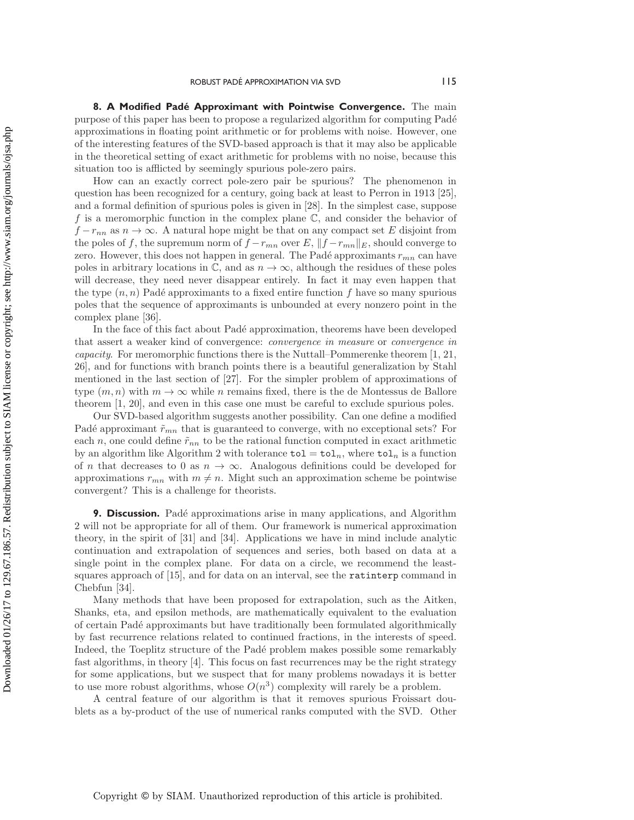**8. A Modified Padé Approximant with Pointwise Convergence.** The main purpose of this paper has been to propose a regularized algorithm for computing Pad´e approximations in floating point arithmetic or for problems with noise. However, one of the interesting features of the SVD-based approach is that it may also be applicable in the theoretical setting of exact arithmetic for problems with no noise, because this situation too is afflicted by seemingly spurious pole-zero pairs.

How can an exactly correct pole-zero pair be spurious? The phenomenon in question has been recognized for a century, going back at least to Perron in 1913 [25], and a formal definition of spurious poles is given in [28]. In the simplest case, suppose  $f$  is a meromorphic function in the complex plane  $\mathbb{C}$ , and consider the behavior of  $f - r_{nn}$  as  $n \to \infty$ . A natural hope might be that on any compact set E disjoint from the poles of f, the supremum norm of  $f - r_{mn}$  over E,  $||f - r_{mn}||_E$ , should converge to zero. However, this does not happen in general. The Padé approximants  $r_{mn}$  can have poles in arbitrary locations in  $\mathbb{C}$ , and as  $n \to \infty$ , although the residues of these poles will decrease, they need never disappear entirely. In fact it may even happen that the type  $(n, n)$  Padé approximants to a fixed entire function f have so many spurious poles that the sequence of approximants is unbounded at every nonzero point in the complex plane [36].

In the face of this fact about Padé approximation, theorems have been developed that assert a weaker kind of convergence: *convergence in measure* or *convergence in capacity*. For meromorphic functions there is the Nuttall–Pommerenke theorem [1, 21, 26], and for functions with branch points there is a beautiful generalization by Stahl mentioned in the last section of [27]. For the simpler problem of approximations of type  $(m, n)$  with  $m \to \infty$  while n remains fixed, there is the de Montessus de Ballore theorem [1, 20], and even in this case one must be careful to exclude spurious poles.

Our SVD-based algorithm suggests another possibility. Can one define a modified Padé approximant  $\tilde{r}_{mn}$  that is guaranteed to converge, with no exceptional sets? For each n, one could define  $\tilde{r}_{nn}$  to be the rational function computed in exact arithmetic by an algorithm like Algorithm 2 with tolerance  $\texttt{tol} = \texttt{tol}_n$ , where  $\texttt{tol}_n$  is a function of *n* that decreases to 0 as  $n \to \infty$ . Analogous definitions could be developed for approximations  $r_{mn}$  with  $m \neq n$ . Might such an approximation scheme be pointwise convergent? This is a challenge for theorists.

**9. Discussion.** Padé approximations arise in many applications, and Algorithm 2 will not be appropriate for all of them. Our framework is numerical approximation theory, in the spirit of [31] and [34]. Applications we have in mind include analytic continuation and extrapolation of sequences and series, both based on data at a single point in the complex plane. For data on a circle, we recommend the leastsquares approach of [15], and for data on an interval, see the ratinterp command in Chebfun [34].

Many methods that have been proposed for extrapolation, such as the Aitken, Shanks, eta, and epsilon methods, are mathematically equivalent to the evaluation of certain Pad´e approximants but have traditionally been formulated algorithmically by fast recurrence relations related to continued fractions, in the interests of speed. Indeed, the Toeplitz structure of the Padé problem makes possible some remarkably fast algorithms, in theory [4]. This focus on fast recurrences may be the right strategy for some applications, but we suspect that for many problems nowadays it is better to use more robust algorithms, whose  $O(n^3)$  complexity will rarely be a problem.

A central feature of our algorithm is that it removes spurious Froissart doublets as a by-product of the use of numerical ranks computed with the SVD. Other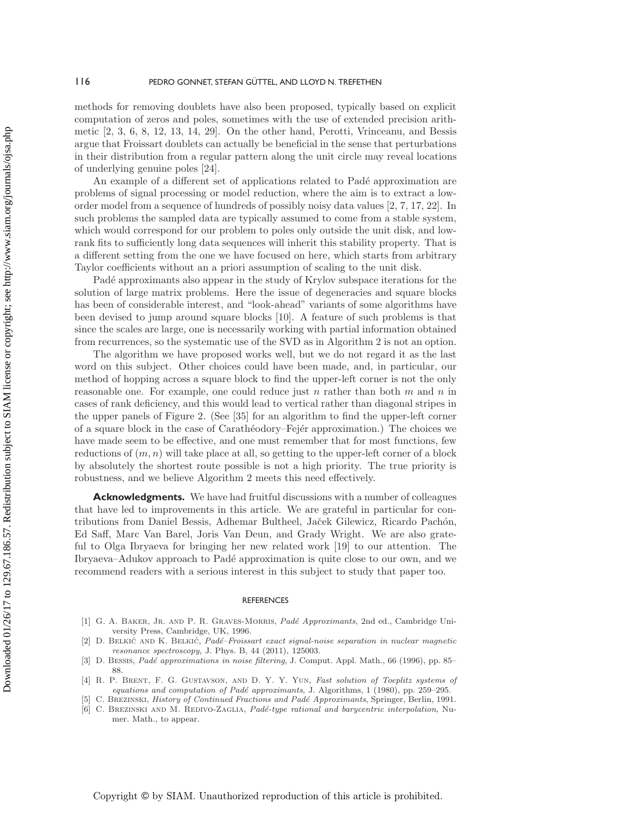methods for removing doublets have also been proposed, typically based on explicit computation of zeros and poles, sometimes with the use of extended precision arithmetic [2, 3, 6, 8, 12, 13, 14, 29]. On the other hand, Perotti, Vrinceanu, and Bessis argue that Froissart doublets can actually be beneficial in the sense that perturbations in their distribution from a regular pattern along the unit circle may reveal locations of underlying genuine poles [24].

An example of a different set of applications related to Padé approximation are problems of signal processing or model reduction, where the aim is to extract a loworder model from a sequence of hundreds of possibly noisy data values [2, 7, 17, 22]. In such problems the sampled data are typically assumed to come from a stable system, which would correspond for our problem to poles only outside the unit disk, and lowrank fits to sufficiently long data sequences will inherit this stability property. That is a different setting from the one we have focused on here, which starts from arbitrary Taylor coefficients without an a priori assumption of scaling to the unit disk.

Padé approximants also appear in the study of Krylov subspace iterations for the solution of large matrix problems. Here the issue of degeneracies and square blocks has been of considerable interest, and "look-ahead" variants of some algorithms have been devised to jump around square blocks [10]. A feature of such problems is that since the scales are large, one is necessarily working with partial information obtained from recurrences, so the systematic use of the SVD as in Algorithm 2 is not an option.

The algorithm we have proposed works well, but we do not regard it as the last word on this subject. Other choices could have been made, and, in particular, our method of hopping across a square block to find the upper-left corner is not the only reasonable one. For example, one could reduce just  $n$  rather than both  $m$  and  $n$  in cases of rank deficiency, and this would lead to vertical rather than diagonal stripes in the upper panels of Figure 2. (See [35] for an algorithm to find the upper-left corner of a square block in the case of Carathéodory–Fejér approximation.) The choices we have made seem to be effective, and one must remember that for most functions, few reductions of  $(m, n)$  will take place at all, so getting to the upper-left corner of a block by absolutely the shortest route possible is not a high priority. The true priority is robustness, and we believe Algorithm 2 meets this need effectively.

**Acknowledgments.** We have had fruitful discussions with a number of colleagues that have led to improvements in this article. We are grateful in particular for contributions from Daniel Bessis, Adhemar Bultheel, Jaček Gilewicz, Ricardo Pachón, Ed Saff, Marc Van Barel, Joris Van Deun, and Grady Wright. We are also grateful to Olga Ibryaeva for bringing her new related work [19] to our attention. The Ibryaeva–Adukov approach to Padé approximation is quite close to our own, and we recommend readers with a serious interest in this subject to study that paper too.

## **REFERENCES**

- [1] G. A. BAKER, JR. AND P. R. GRAVES-MORRIS, Padé Approximants, 2nd ed., Cambridge University Press, Cambridge, UK, 1996.
- [2] D. BELKIĆ AND K. BELKIĆ, Padé–Froissart exact signal-noise separation in nuclear magnetic resonance spectroscopy, J. Phys. B, 44 (2011), 125003.
- [3] D. BESSIS, Padé approximations in noise filtering, J. Comput. Appl. Math., 66 (1996), pp. 85– 88.
- [4] R. P. Brent, F. G. Gustavson, and D. Y. Y. Yun, Fast solution of Toeplitz systems of equations and computation of Padé approximants, J. Algorithms,  $1$  (1980), pp. 259–295.
	- [5] C. Brezinski, History of Continued Fractions and Pad´e Approximants, Springer, Berlin, 1991.
- [6] C. BREZINSKI AND M. REDIVO-ZAGLIA, Padé-type rational and barycentric interpolation, Numer. Math., to appear.